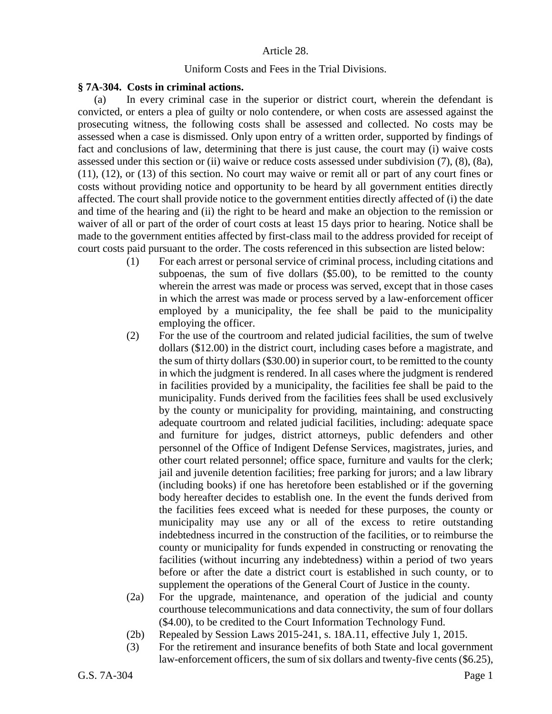## Article 28.

## Uniform Costs and Fees in the Trial Divisions.

## **§ 7A-304. Costs in criminal actions.**

(a) In every criminal case in the superior or district court, wherein the defendant is convicted, or enters a plea of guilty or nolo contendere, or when costs are assessed against the prosecuting witness, the following costs shall be assessed and collected. No costs may be assessed when a case is dismissed. Only upon entry of a written order, supported by findings of fact and conclusions of law, determining that there is just cause, the court may (i) waive costs assessed under this section or (ii) waive or reduce costs assessed under subdivision (7), (8), (8a), (11), (12), or (13) of this section. No court may waive or remit all or part of any court fines or costs without providing notice and opportunity to be heard by all government entities directly affected. The court shall provide notice to the government entities directly affected of (i) the date and time of the hearing and (ii) the right to be heard and make an objection to the remission or waiver of all or part of the order of court costs at least 15 days prior to hearing. Notice shall be made to the government entities affected by first-class mail to the address provided for receipt of court costs paid pursuant to the order. The costs referenced in this subsection are listed below:

- (1) For each arrest or personal service of criminal process, including citations and subpoenas, the sum of five dollars (\$5.00), to be remitted to the county wherein the arrest was made or process was served, except that in those cases in which the arrest was made or process served by a law-enforcement officer employed by a municipality, the fee shall be paid to the municipality employing the officer.
- (2) For the use of the courtroom and related judicial facilities, the sum of twelve dollars (\$12.00) in the district court, including cases before a magistrate, and the sum of thirty dollars (\$30.00) in superior court, to be remitted to the county in which the judgment is rendered. In all cases where the judgment is rendered in facilities provided by a municipality, the facilities fee shall be paid to the municipality. Funds derived from the facilities fees shall be used exclusively by the county or municipality for providing, maintaining, and constructing adequate courtroom and related judicial facilities, including: adequate space and furniture for judges, district attorneys, public defenders and other personnel of the Office of Indigent Defense Services, magistrates, juries, and other court related personnel; office space, furniture and vaults for the clerk; jail and juvenile detention facilities; free parking for jurors; and a law library (including books) if one has heretofore been established or if the governing body hereafter decides to establish one. In the event the funds derived from the facilities fees exceed what is needed for these purposes, the county or municipality may use any or all of the excess to retire outstanding indebtedness incurred in the construction of the facilities, or to reimburse the county or municipality for funds expended in constructing or renovating the facilities (without incurring any indebtedness) within a period of two years before or after the date a district court is established in such county, or to supplement the operations of the General Court of Justice in the county.
- (2a) For the upgrade, maintenance, and operation of the judicial and county courthouse telecommunications and data connectivity, the sum of four dollars (\$4.00), to be credited to the Court Information Technology Fund.
- (2b) Repealed by Session Laws 2015-241, s. 18A.11, effective July 1, 2015.
- (3) For the retirement and insurance benefits of both State and local government law-enforcement officers, the sum of six dollars and twenty-five cents (\$6.25),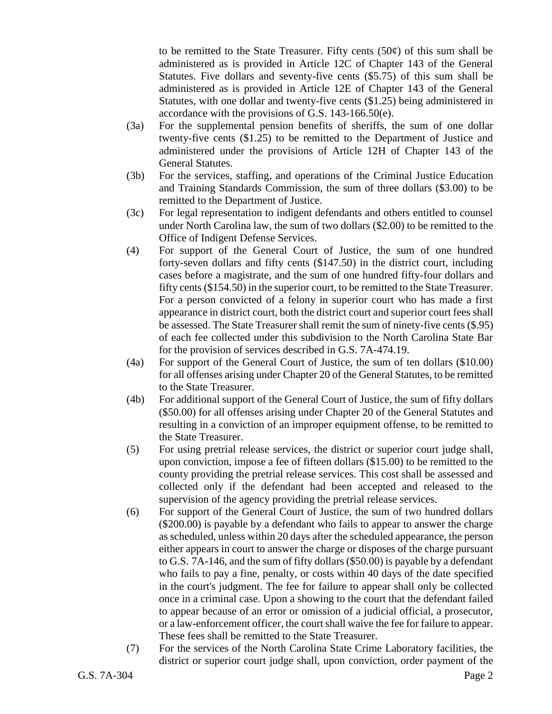to be remitted to the State Treasurer. Fifty cents  $(50¢)$  of this sum shall be administered as is provided in Article 12C of Chapter 143 of the General Statutes. Five dollars and seventy-five cents (\$5.75) of this sum shall be administered as is provided in Article 12E of Chapter 143 of the General Statutes, with one dollar and twenty-five cents (\$1.25) being administered in accordance with the provisions of G.S. 143-166.50(e).

- (3a) For the supplemental pension benefits of sheriffs, the sum of one dollar twenty-five cents (\$1.25) to be remitted to the Department of Justice and administered under the provisions of Article 12H of Chapter 143 of the General Statutes.
- (3b) For the services, staffing, and operations of the Criminal Justice Education and Training Standards Commission, the sum of three dollars (\$3.00) to be remitted to the Department of Justice.
- (3c) For legal representation to indigent defendants and others entitled to counsel under North Carolina law, the sum of two dollars (\$2.00) to be remitted to the Office of Indigent Defense Services.
- (4) For support of the General Court of Justice, the sum of one hundred forty-seven dollars and fifty cents (\$147.50) in the district court, including cases before a magistrate, and the sum of one hundred fifty-four dollars and fifty cents (\$154.50) in the superior court, to be remitted to the State Treasurer. For a person convicted of a felony in superior court who has made a first appearance in district court, both the district court and superior court fees shall be assessed. The State Treasurer shall remit the sum of ninety-five cents (\$.95) of each fee collected under this subdivision to the North Carolina State Bar for the provision of services described in G.S. 7A-474.19.
- (4a) For support of the General Court of Justice, the sum of ten dollars (\$10.00) for all offenses arising under Chapter 20 of the General Statutes, to be remitted to the State Treasurer.
- (4b) For additional support of the General Court of Justice, the sum of fifty dollars (\$50.00) for all offenses arising under Chapter 20 of the General Statutes and resulting in a conviction of an improper equipment offense, to be remitted to the State Treasurer.
- (5) For using pretrial release services, the district or superior court judge shall, upon conviction, impose a fee of fifteen dollars (\$15.00) to be remitted to the county providing the pretrial release services. This cost shall be assessed and collected only if the defendant had been accepted and released to the supervision of the agency providing the pretrial release services.
- (6) For support of the General Court of Justice, the sum of two hundred dollars (\$200.00) is payable by a defendant who fails to appear to answer the charge as scheduled, unless within 20 days after the scheduled appearance, the person either appears in court to answer the charge or disposes of the charge pursuant to G.S. 7A-146, and the sum of fifty dollars (\$50.00) is payable by a defendant who fails to pay a fine, penalty, or costs within 40 days of the date specified in the court's judgment. The fee for failure to appear shall only be collected once in a criminal case. Upon a showing to the court that the defendant failed to appear because of an error or omission of a judicial official, a prosecutor, or a law-enforcement officer, the court shall waive the fee for failure to appear. These fees shall be remitted to the State Treasurer.
- (7) For the services of the North Carolina State Crime Laboratory facilities, the district or superior court judge shall, upon conviction, order payment of the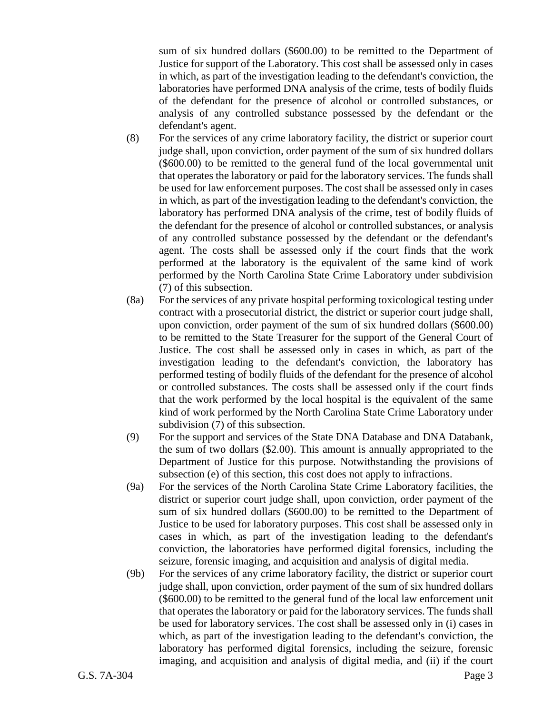sum of six hundred dollars (\$600.00) to be remitted to the Department of Justice for support of the Laboratory. This cost shall be assessed only in cases in which, as part of the investigation leading to the defendant's conviction, the laboratories have performed DNA analysis of the crime, tests of bodily fluids of the defendant for the presence of alcohol or controlled substances, or analysis of any controlled substance possessed by the defendant or the defendant's agent.

- (8) For the services of any crime laboratory facility, the district or superior court judge shall, upon conviction, order payment of the sum of six hundred dollars (\$600.00) to be remitted to the general fund of the local governmental unit that operates the laboratory or paid for the laboratory services. The funds shall be used for law enforcement purposes. The cost shall be assessed only in cases in which, as part of the investigation leading to the defendant's conviction, the laboratory has performed DNA analysis of the crime, test of bodily fluids of the defendant for the presence of alcohol or controlled substances, or analysis of any controlled substance possessed by the defendant or the defendant's agent. The costs shall be assessed only if the court finds that the work performed at the laboratory is the equivalent of the same kind of work performed by the North Carolina State Crime Laboratory under subdivision (7) of this subsection.
- (8a) For the services of any private hospital performing toxicological testing under contract with a prosecutorial district, the district or superior court judge shall, upon conviction, order payment of the sum of six hundred dollars (\$600.00) to be remitted to the State Treasurer for the support of the General Court of Justice. The cost shall be assessed only in cases in which, as part of the investigation leading to the defendant's conviction, the laboratory has performed testing of bodily fluids of the defendant for the presence of alcohol or controlled substances. The costs shall be assessed only if the court finds that the work performed by the local hospital is the equivalent of the same kind of work performed by the North Carolina State Crime Laboratory under subdivision (7) of this subsection.
- (9) For the support and services of the State DNA Database and DNA Databank, the sum of two dollars (\$2.00). This amount is annually appropriated to the Department of Justice for this purpose. Notwithstanding the provisions of subsection (e) of this section, this cost does not apply to infractions.
- (9a) For the services of the North Carolina State Crime Laboratory facilities, the district or superior court judge shall, upon conviction, order payment of the sum of six hundred dollars (\$600.00) to be remitted to the Department of Justice to be used for laboratory purposes. This cost shall be assessed only in cases in which, as part of the investigation leading to the defendant's conviction, the laboratories have performed digital forensics, including the seizure, forensic imaging, and acquisition and analysis of digital media.
- (9b) For the services of any crime laboratory facility, the district or superior court judge shall, upon conviction, order payment of the sum of six hundred dollars (\$600.00) to be remitted to the general fund of the local law enforcement unit that operates the laboratory or paid for the laboratory services. The funds shall be used for laboratory services. The cost shall be assessed only in (i) cases in which, as part of the investigation leading to the defendant's conviction, the laboratory has performed digital forensics, including the seizure, forensic imaging, and acquisition and analysis of digital media, and (ii) if the court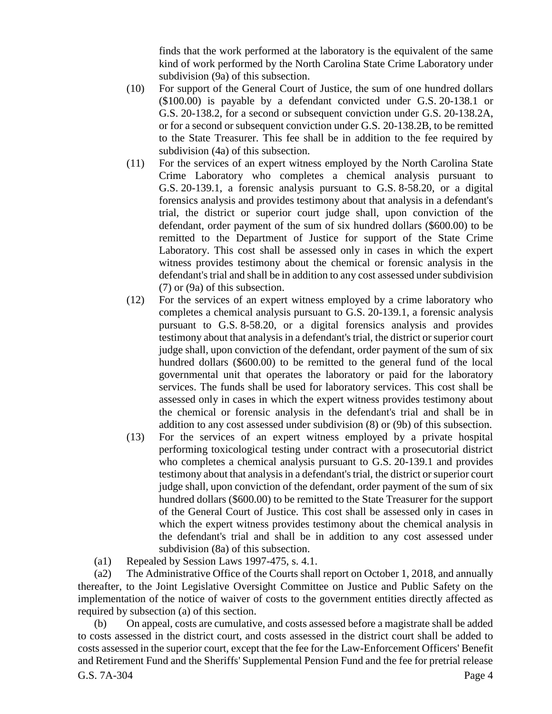finds that the work performed at the laboratory is the equivalent of the same kind of work performed by the North Carolina State Crime Laboratory under subdivision (9a) of this subsection.

- (10) For support of the General Court of Justice, the sum of one hundred dollars (\$100.00) is payable by a defendant convicted under G.S. 20-138.1 or G.S. 20-138.2, for a second or subsequent conviction under G.S. 20-138.2A, or for a second or subsequent conviction under G.S. 20-138.2B, to be remitted to the State Treasurer. This fee shall be in addition to the fee required by subdivision (4a) of this subsection.
- (11) For the services of an expert witness employed by the North Carolina State Crime Laboratory who completes a chemical analysis pursuant to G.S. 20-139.1, a forensic analysis pursuant to G.S. 8-58.20, or a digital forensics analysis and provides testimony about that analysis in a defendant's trial, the district or superior court judge shall, upon conviction of the defendant, order payment of the sum of six hundred dollars (\$600.00) to be remitted to the Department of Justice for support of the State Crime Laboratory. This cost shall be assessed only in cases in which the expert witness provides testimony about the chemical or forensic analysis in the defendant's trial and shall be in addition to any cost assessed under subdivision (7) or (9a) of this subsection.
- (12) For the services of an expert witness employed by a crime laboratory who completes a chemical analysis pursuant to G.S. 20-139.1, a forensic analysis pursuant to G.S. 8-58.20, or a digital forensics analysis and provides testimony about that analysis in a defendant's trial, the district or superior court judge shall, upon conviction of the defendant, order payment of the sum of six hundred dollars (\$600.00) to be remitted to the general fund of the local governmental unit that operates the laboratory or paid for the laboratory services. The funds shall be used for laboratory services. This cost shall be assessed only in cases in which the expert witness provides testimony about the chemical or forensic analysis in the defendant's trial and shall be in addition to any cost assessed under subdivision (8) or (9b) of this subsection.
- (13) For the services of an expert witness employed by a private hospital performing toxicological testing under contract with a prosecutorial district who completes a chemical analysis pursuant to G.S. 20-139.1 and provides testimony about that analysis in a defendant's trial, the district or superior court judge shall, upon conviction of the defendant, order payment of the sum of six hundred dollars (\$600.00) to be remitted to the State Treasurer for the support of the General Court of Justice. This cost shall be assessed only in cases in which the expert witness provides testimony about the chemical analysis in the defendant's trial and shall be in addition to any cost assessed under subdivision (8a) of this subsection.
- (a1) Repealed by Session Laws 1997-475, s. 4.1.

(a2) The Administrative Office of the Courts shall report on October 1, 2018, and annually thereafter, to the Joint Legislative Oversight Committee on Justice and Public Safety on the implementation of the notice of waiver of costs to the government entities directly affected as required by subsection (a) of this section.

G.S. 7A-304 Page 4 (b) On appeal, costs are cumulative, and costs assessed before a magistrate shall be added to costs assessed in the district court, and costs assessed in the district court shall be added to costs assessed in the superior court, except that the fee for the Law-Enforcement Officers' Benefit and Retirement Fund and the Sheriffs' Supplemental Pension Fund and the fee for pretrial release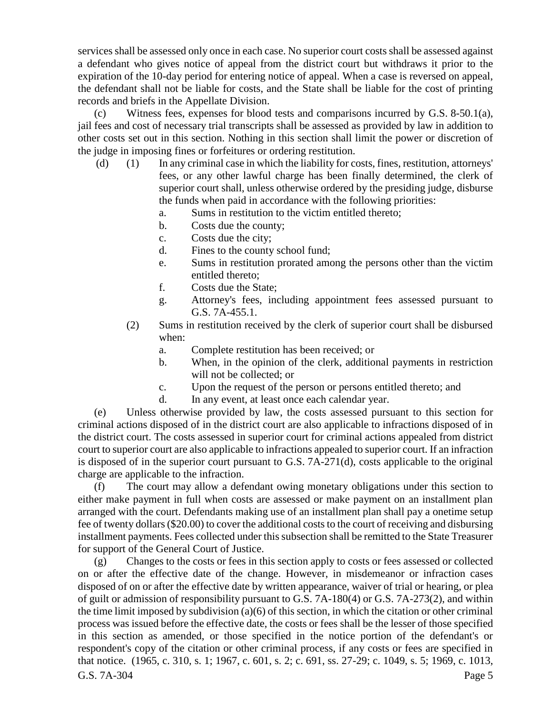services shall be assessed only once in each case. No superior court costs shall be assessed against a defendant who gives notice of appeal from the district court but withdraws it prior to the expiration of the 10-day period for entering notice of appeal. When a case is reversed on appeal, the defendant shall not be liable for costs, and the State shall be liable for the cost of printing records and briefs in the Appellate Division.

(c) Witness fees, expenses for blood tests and comparisons incurred by G.S. 8-50.1(a), jail fees and cost of necessary trial transcripts shall be assessed as provided by law in addition to other costs set out in this section. Nothing in this section shall limit the power or discretion of the judge in imposing fines or forfeitures or ordering restitution.

- (d) (1) In any criminal case in which the liability for costs, fines, restitution, attorneys' fees, or any other lawful charge has been finally determined, the clerk of superior court shall, unless otherwise ordered by the presiding judge, disburse the funds when paid in accordance with the following priorities:
	- a. Sums in restitution to the victim entitled thereto;
	- b. Costs due the county;
	- c. Costs due the city;
	- d. Fines to the county school fund;
	- e. Sums in restitution prorated among the persons other than the victim entitled thereto;
	- f. Costs due the State;
	- g. Attorney's fees, including appointment fees assessed pursuant to G.S. 7A-455.1.
	- (2) Sums in restitution received by the clerk of superior court shall be disbursed when:
		- a. Complete restitution has been received; or
		- b. When, in the opinion of the clerk, additional payments in restriction will not be collected; or
		- c. Upon the request of the person or persons entitled thereto; and
		- d. In any event, at least once each calendar year.

(e) Unless otherwise provided by law, the costs assessed pursuant to this section for criminal actions disposed of in the district court are also applicable to infractions disposed of in the district court. The costs assessed in superior court for criminal actions appealed from district court to superior court are also applicable to infractions appealed to superior court. If an infraction is disposed of in the superior court pursuant to G.S. 7A-271(d), costs applicable to the original charge are applicable to the infraction.

(f) The court may allow a defendant owing monetary obligations under this section to either make payment in full when costs are assessed or make payment on an installment plan arranged with the court. Defendants making use of an installment plan shall pay a onetime setup fee of twenty dollars (\$20.00) to cover the additional costs to the court of receiving and disbursing installment payments. Fees collected under this subsection shall be remitted to the State Treasurer for support of the General Court of Justice.

G.S. 7A-304 Page 5 (g) Changes to the costs or fees in this section apply to costs or fees assessed or collected on or after the effective date of the change. However, in misdemeanor or infraction cases disposed of on or after the effective date by written appearance, waiver of trial or hearing, or plea of guilt or admission of responsibility pursuant to G.S. 7A-180(4) or G.S. 7A-273(2), and within the time limit imposed by subdivision (a)(6) of this section, in which the citation or other criminal process was issued before the effective date, the costs or fees shall be the lesser of those specified in this section as amended, or those specified in the notice portion of the defendant's or respondent's copy of the citation or other criminal process, if any costs or fees are specified in that notice. (1965, c. 310, s. 1; 1967, c. 601, s. 2; c. 691, ss. 27-29; c. 1049, s. 5; 1969, c. 1013,